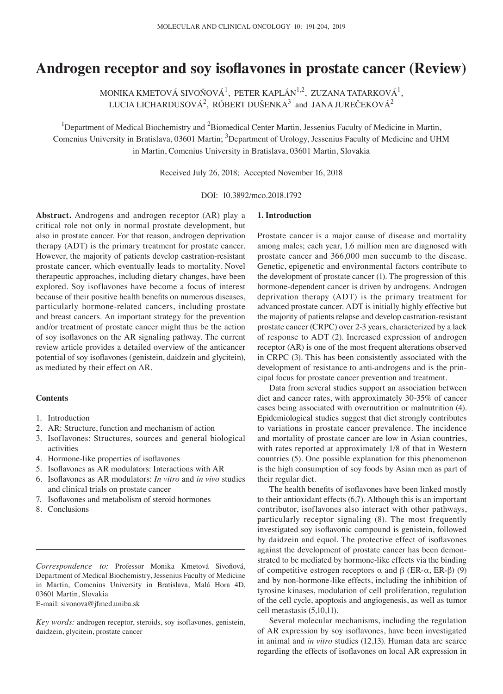# **Androgen receptor and soy isoflavones in prostate cancer (Review)**

MONIKA KMETOVÁ SIVOŇOVÁ $^1$ , PETER KAPLÁN $^{1,2}$ , ZUZANA TATARKOVÁ $^1$ , LUCIA LICHARDUSOVÁ $^2$ , RÓBERT DUŠENKA $^3$  and JANA JUREČEKOVÁ $^2$ 

<sup>1</sup>Department of Medical Biochemistry and <sup>2</sup>Biomedical Center Martin, Jessenius Faculty of Medicine in Martin, Comenius University in Bratislava, 03601 Martin; <sup>3</sup>Department of Urology, Jessenius Faculty of Medicine and UHM in Martin, Comenius University in Bratislava, 03601 Martin, Slovakia

Received July 26, 2018; Accepted November 16, 2018

DOI: 10.3892/mco.2018.1792

**Abstract.** Androgens and androgen receptor (AR) play a critical role not only in normal prostate development, but also in prostate cancer. For that reason, androgen deprivation therapy (ADT) is the primary treatment for prostate cancer. However, the majority of patients develop castration-resistant prostate cancer, which eventually leads to mortality. Novel therapeutic approaches, including dietary changes, have been explored. Soy isoflavones have become a focus of interest because of their positive health benefits on numerous diseases, particularly hormone-related cancers, including prostate and breast cancers. An important strategy for the prevention and/or treatment of prostate cancer might thus be the action of soy isoflavones on the AR signaling pathway. The current review article provides a detailed overview of the anticancer potential of soy isoflavones (genistein, daidzein and glycitein), as mediated by their effect on AR.

# **Contents**

- 1. Introduction
- 2. AR: Structure, function and mechanism of action
- 3. Isoflavones: Structures, sources and general biological activities
- 4. Hormone‑like properties of isoflavones
- 5. Isoflavones as AR modulators: Interactions with AR
- 6. Isoflavones as AR modulators: *In vitro* and *in vivo* studies and clinical trials on prostate cancer
- 7. Isoflavones and metabolism of steroid hormones
- 8. Conclusions

*Correspondence to:* Professor Monika Kmetová Sivoňová, Department of Medical Biochemistry, Jessenius Faculty of Medicine in Martin, Comenius University in Bratislava, Malá Hora 4D, 03601 Martin, Slovakia

E-mail: sivonova@jfmed.uniba.sk

*Key words:* androgen receptor, steroids, soy isoflavones, genistein, daidzein, glycitein, prostate cancer

### **1. Introduction**

Prostate cancer is a major cause of disease and mortality among males; each year, 1.6 million men are diagnosed with prostate cancer and 366,000 men succumb to the disease. Genetic, epigenetic and environmental factors contribute to the development of prostate cancer (1). The progression of this hormone-dependent cancer is driven by androgens. Androgen deprivation therapy (ADT) is the primary treatment for advanced prostate cancer. ADT is initially highly effective but the majority of patients relapse and develop castration-resistant prostate cancer (CRPC) over 2‑3 years, characterized by a lack of response to ADT (2). Increased expression of androgen receptor (AR) is one of the most frequent alterations observed in CRPC (3). This has been consistently associated with the development of resistance to anti-androgens and is the principal focus for prostate cancer prevention and treatment.

Data from several studies support an association between diet and cancer rates, with approximately 30-35% of cancer cases being associated with overnutrition or malnutrition (4). Epidemiological studies suggest that diet strongly contributes to variations in prostate cancer prevalence. The incidence and mortality of prostate cancer are low in Asian countries, with rates reported at approximately 1/8 of that in Western countries (5). One possible explanation for this phenomenon is the high consumption of soy foods by Asian men as part of their regular diet.

The health benefits of isoflavones have been linked mostly to their antioxidant effects (6,7). Although this is an important contributor, isoflavones also interact with other pathways, particularly receptor signaling (8). The most frequently investigated soy isoflavonic compound is genistein, followed by daidzein and equol. The protective effect of isoflavones against the development of prostate cancer has been demonstrated to be mediated by hormone-like effects via the binding of competitive estrogen receptors  $\alpha$  and  $\beta$  (ER- $\alpha$ , ER- $\beta$ ) (9) and by non-hormone-like effects, including the inhibition of tyrosine kinases, modulation of cell proliferation, regulation of the cell cycle, apoptosis and angiogenesis, as well as tumor cell metastasis (5,10,11).

Several molecular mechanisms, including the regulation of AR expression by soy isoflavones, have been investigated in animal and *in vitro* studies (12,13). Human data are scarce regarding the effects of isoflavones on local AR expression in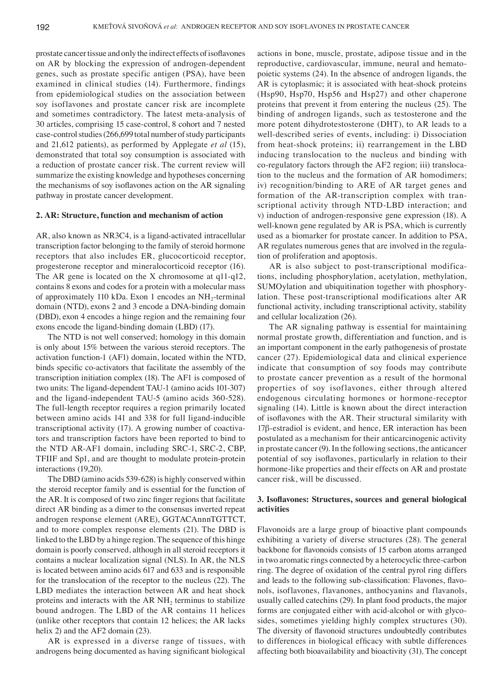prostate cancer tissue and only the indirect effects of isoflavones on AR by blocking the expression of androgen-dependent genes, such as prostate specific antigen (PSA), have been examined in clinical studies (14). Furthermore, findings from epidemiological studies on the association between soy isoflavones and prostate cancer risk are incomplete and sometimes contradictory. The latest meta-analysis of 30 articles, comprising 15 case-control, 8 cohort and 7 nested case-control studies (266,699 total number of study participants and 21,612 patients), as performed by Applegate *et al* (15), demonstrated that total soy consumption is associated with a reduction of prostate cancer risk. The current review will summarize the existing knowledge and hypotheses concerning the mechanisms of soy isoflavones action on the AR signaling pathway in prostate cancer development.

### **2. AR: Structure, function and mechanism of action**

AR, also known as NR3C4, is a ligand-activated intracellular transcription factor belonging to the family of steroid hormone receptors that also includes ER, glucocorticoid receptor, progesterone receptor and mineralocorticoid receptor (16). The AR gene is located on the X chromosome at q11-q12, contains 8 exons and codes for a protein with a molecular mass of approximately 110 kDa. Exon 1 encodes an  $NH_2$ -terminal domain (NTD), exons 2 and 3 encode a DNA-binding domain (DBD), exon 4 encodes a hinge region and the remaining four exons encode the ligand-binding domain (LBD) (17).

The NTD is not well conserved; homology in this domain is only about 15% between the various steroid receptors. The activation function-1 (AF1) domain, located within the NTD, binds specific co-activators that facilitate the assembly of the transcription initiation complex (18). The AF1 is composed of two units: The ligand-dependent TAU-1 (amino acids 101-307) and the ligand-independent TAU-5 (amino acids 360-528). The full-length receptor requires a region primarily located between amino acids 141 and 338 for full ligand-inducible transcriptional activity (17). A growing number of coactivators and transcription factors have been reported to bind to the NTD AR-AF1 domain, including SRC-1, SRC-2, CBP, TFIIF and Sp1, and are thought to modulate protein-protein interactions (19,20).

The DBD (amino acids 539-628) is highly conserved within the steroid receptor family and is essential for the function of the AR. It is composed of two zinc finger regions that facilitate direct AR binding as a dimer to the consensus inverted repeat androgen response element (ARE), GGTACAnnnTGTTCT, and to more complex response elements (21). The DBD is linked to the LBD by a hinge region. The sequence of this hinge domain is poorly conserved, although in all steroid receptors it contains a nuclear localization signal (NLS). In AR, the NLS is located between amino acids 617 and 633 and is responsible for the translocation of the receptor to the nucleus (22). The LBD mediates the interaction between AR and heat shock proteins and interacts with the  $ARNH<sub>2</sub>$  terminus to stabilize bound androgen. The LBD of the AR contains 11 helices (unlike other receptors that contain 12 helices; the AR lacks helix 2) and the AF2 domain (23).

AR is expressed in a diverse range of tissues, with androgens being documented as having significant biological actions in bone, muscle, prostate, adipose tissue and in the reproductive, cardiovascular, immune, neural and hematopoietic systems (24). In the absence of androgen ligands, the AR is cytoplasmic; it is associated with heat-shock proteins (Hsp90, Hsp70, Hsp56 and Hsp27) and other chaperone proteins that prevent it from entering the nucleus (25). The binding of androgen ligands, such as testosterone and the more potent dihydrotestosterone (DHT), to AR leads to a well-described series of events, including: i) Dissociation from heat-shock proteins; ii) rearrangement in the LBD inducing translocation to the nucleus and binding with co-regulatory factors through the AF2 region; iii) translocation to the nucleus and the formation of AR homodimers; iv) recognition/binding to ARE of AR target genes and formation of the AR-transcription complex with transcriptional activity through NTD-LBD interaction; and v) induction of androgen-responsive gene expression (18). A well-known gene regulated by AR is PSA, which is currently used as a biomarker for prostate cancer. In addition to PSA, AR regulates numerous genes that are involved in the regulation of proliferation and apoptosis.

AR is also subject to post-transcriptional modifications, including phosphorylation, acetylation, methylation, SUMOylation and ubiquitination together with phosphorylation. These post-transcriptional modifications alter AR functional activity, including transcriptional activity, stability and cellular localization (26).

The AR signaling pathway is essential for maintaining normal prostate growth, differentiation and function, and is an important component in the early pathogenesis of prostate cancer (27). Epidemiological data and clinical experience indicate that consumption of soy foods may contribute to prostate cancer prevention as a result of the hormonal properties of soy isoflavones, either through altered endogenous circulating hormones or hormone-receptor signaling (14). Little is known about the direct interaction of isoflavones with the AR. Their structural similarity with 17β-estradiol is evident, and hence, ER interaction has been postulated as a mechanism for their anticarcinogenic activity in prostate cancer (9). In the following sections, the anticancer potential of soy isoflavones, particularly in relation to their hormone-like properties and their effects on AR and prostate cancer risk, will be discussed.

# **3. Isoflavones: Structures, sources and general biological activities**

Flavonoids are a large group of bioactive plant compounds exhibiting a variety of diverse structures (28). The general backbone for flavonoids consists of 15 carbon atoms arranged in two aromatic rings connected by a heterocyclic three-carbon ring. The degree of oxidation of the central pyrol ring differs and leads to the following sub‑classification: Flavones, flavonols, isoflavones, flavanones, anthocyanins and flavanols, usually called catechins (29). In plant food products, the major forms are conjugated either with acid-alcohol or with glycosides, sometimes yielding highly complex structures (30). The diversity of flavonoid structures undoubtedly contributes to differences in biological efficacy with subtle differences affecting both bioavailability and bioactivity (31). The concept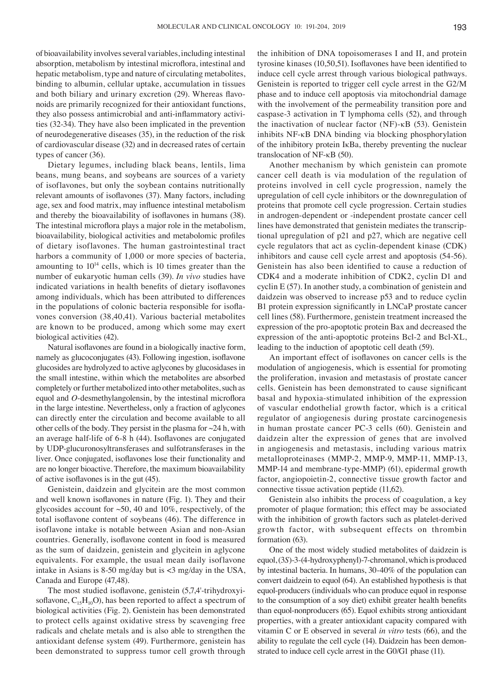of bioavailability involves several variables, including intestinal absorption, metabolism by intestinal microflora, intestinal and hepatic metabolism, type and nature of circulating metabolites, binding to albumin, cellular uptake, accumulation in tissues and both biliary and urinary excretion (29). Whereas flavonoids are primarily recognized for their antioxidant functions, they also possess antimicrobial and anti‑inflammatory activities (32-34). They have also been implicated in the prevention of neurodegenerative diseases (35), in the reduction of the risk of cardiovascular disease (32) and in decreased rates of certain types of cancer (36).

Dietary legumes, including black beans, lentils, lima beans, mung beans, and soybeans are sources of a variety of isoflavones, but only the soybean contains nutritionally relevant amounts of isoflavones (37). Many factors, including age, sex and food matrix, may influence intestinal metabolism and thereby the bioavailability of isoflavones in humans (38). The intestinal microflora plays a major role in the metabolism, bioavailability, biological activities and metabolomic profiles of dietary isoflavones. The human gastrointestinal tract harbors a community of 1,000 or more species of bacteria, amounting to  $10^{14}$  cells, which is 10 times greater than the number of eukaryotic human cells (39). *In vivo* studies have indicated variations in health benefits of dietary isoflavones among individuals, which has been attributed to differences in the populations of colonic bacteria responsible for isoflavones conversion (38,40,41). Various bacterial metabolites are known to be produced, among which some may exert biological activities (42).

Natural isoflavones are found in a biologically inactive form, namely as glucoconjugates (43). Following ingestion, isoflavone glucosides are hydrolyzed to active aglycones by glucosidases in the small intestine, within which the metabolites are absorbed completely or further metabolized into other metabolites, such as equol and *O*‑desmethylangolensin, by the intestinal microflora in the large intestine. Nevertheless, only a fraction of aglycones can directly enter the circulation and become available to all other cells of the body. They persist in the plasma for  $\sim$ 24 h, with an average half-life of 6-8 h (44). Isoflavones are conjugated by UDP-glucuronosyltransferases and sulfotransferases in the liver. Once conjugated, isoflavones lose their functionality and are no longer bioactive. Therefore, the maximum bioavailability of active isoflavones is in the gut (45).

Genistein, daidzein and glycitein are the most common and well known isoflavones in nature (Fig. 1). They and their glycosides account for  $\sim 50$ , 40 and 10%, respectively, of the total isoflavone content of soybeans (46). The difference in isoflavone intake is notable between Asian and non-Asian countries. Generally, isoflavone content in food is measured as the sum of daidzein, genistein and glycitein in aglycone equivalents. For example, the usual mean daily isoflavone intake in Asians is 8-50 mg/day but is <3 mg/day in the USA, Canada and Europe (47,48).

The most studied isoflavone, genistein (5,7,4'‑trihydroxyisoflavone,  $C_{15}H_{10}O$ , has been reported to affect a spectrum of biological activities (Fig. 2). Genistein has been demonstrated to protect cells against oxidative stress by scavenging free radicals and chelate metals and is also able to strengthen the antioxidant defense system (49). Furthermore, genistein has been demonstrated to suppress tumor cell growth through the inhibition of DNA topoisomerases I and II, and protein tyrosine kinases (10,50,51). Isoflavones have been identified to induce cell cycle arrest through various biological pathways. Genistein is reported to trigger cell cycle arrest in the G2/M phase and to induce cell apoptosis via mitochondrial damage with the involvement of the permeability transition pore and caspase-3 activation in T lymphoma cells (52), and through the inactivation of nuclear factor (NF)-κB (53). Genistein inhibits NF-κB DNA binding via blocking phosphorylation of the inhibitory protein IκBa, thereby preventing the nuclear translocation of NF-κB (50).

Another mechanism by which genistein can promote cancer cell death is via modulation of the regulation of proteins involved in cell cycle progression, namely the upregulation of cell cycle inhibitors or the downregulation of proteins that promote cell cycle progression. Certain studies in androgen-dependent or -independent prostate cancer cell lines have demonstrated that genistein mediates the transcriptional upregulation of p21 and p27, which are negative cell cycle regulators that act as cyclin-dependent kinase (CDK) inhibitors and cause cell cycle arrest and apoptosis (54-56). Genistein has also been identified to cause a reduction of CDK4 and a moderate inhibition of CDK2, cyclin D1 and cyclin E (57). In another study, a combination of genistein and daidzein was observed to increase p53 and to reduce cyclin B1 protein expression significantly in LNCaP prostate cancer cell lines (58). Furthermore, genistein treatment increased the expression of the pro-apoptotic protein Bax and decreased the expression of the anti-apoptotic proteins Bcl-2 and Bcl-XL, leading to the induction of apoptotic cell death (59).

An important effect of isoflavones on cancer cells is the modulation of angiogenesis, which is essential for promoting the proliferation, invasion and metastasis of prostate cancer cells. Genistein has been demonstrated to cause significant basal and hypoxia-stimulated inhibition of the expression of vascular endothelial growth factor, which is a critical regulator of angiogenesis during prostate carcinogenesis in human prostate cancer PC-3 cells (60). Genistein and daidzein alter the expression of genes that are involved in angiogenesis and metastasis, including various matrix metalloproteinases (MMP-2, MMP-9, MMP-11, MMP-13, MMP-14 and membrane-type-MMP) (61), epidermal growth factor, angiopoietin-2, connective tissue growth factor and connective tissue activation peptide (11,62).

Genistein also inhibits the process of coagulation, a key promoter of plaque formation; this effect may be associated with the inhibition of growth factors such as platelet-derived growth factor, with subsequent effects on thrombin formation (63).

One of the most widely studied metabolites of daidzein is equol, (3*S*)-3-(4-hydroxyphenyl)-7-chromanol, which is produced by intestinal bacteria. In humans, 30-40% of the population can convert daidzein to equol (64). An established hypothesis is that equol-producers (individuals who can produce equol in response to the consumption of a soy diet) exhibit greater health benefits than equol-nonproducers (65). Equol exhibits strong antioxidant properties, with a greater antioxidant capacity compared with vitamin C or E observed in several *in vitro* tests (66), and the ability to regulate the cell cycle (14). Daidzein has been demonstrated to induce cell cycle arrest in the G0/G1 phase (11).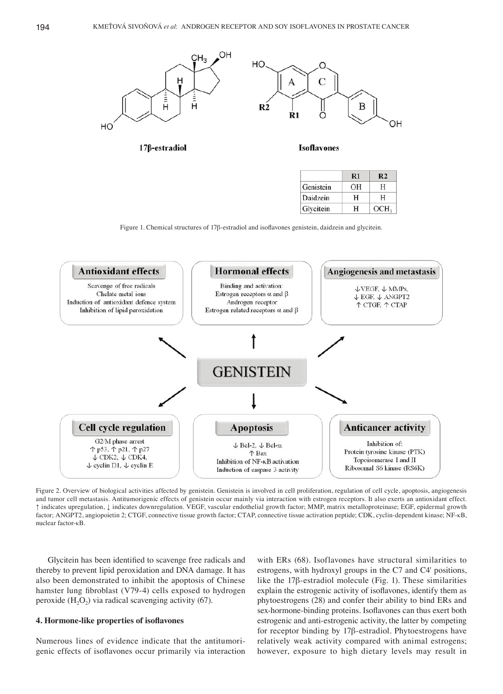

17β-estradiol



**Isoflavones** 

|           | $\mathbf{R}1$ | R2               |
|-----------|---------------|------------------|
| Genistein | OН            | Н                |
| Daidzein  | н             | Н                |
| Glycitein | н             | OCH <sub>3</sub> |

Figure 1. Chemical structures of 17β‑estradiol and isoflavones genistein, daidzein and glycitein.



Figure 2. Overview of biological activities affected by genistein. Genistein is involved in cell proliferation, regulation of cell cycle, apoptosis, angiogenesis and tumor cell metastasis. Antitumorigenic effects of genistein occur mainly via interaction with estrogen receptors. It also exerts an antioxidant effect. ↑ indicates upregulation, ↓ indicates downregulation. VEGF, vascular endothelial growth factor; MMP, matrix metalloproteinase; EGF, epidermal growth factor; ANGPT2, angiopoietin 2; CTGF, connective tissue growth factor; CTAP, connective tissue activation peptide; CDK, cyclin-dependent kinase; NF-κB, nuclear factor-κB.

Glycitein has been identified to scavenge free radicals and thereby to prevent lipid peroxidation and DNA damage. It has also been demonstrated to inhibit the apoptosis of Chinese hamster lung fibroblast (V79‑4) cells exposed to hydrogen peroxide  $(H_2O_2)$  via radical scavenging activity (67).

#### **4. Hormone‑like properties of isoflavones**

Numerous lines of evidence indicate that the antitumorigenic effects of isoflavones occur primarily via interaction

with ERs (68). Isoflavones have structural similarities to estrogens, with hydroxyl groups in the C7 and C4' positions, like the 17β-estradiol molecule (Fig. 1). These similarities explain the estrogenic activity of isoflavones, identify them as phytoestrogens (28) and confer their ability to bind ERs and sex-hormone-binding proteins. Isoflavones can thus exert both estrogenic and anti-estrogenic activity, the latter by competing for receptor binding by 17β-estradiol. Phytoestrogens have relatively weak activity compared with animal estrogens; however, exposure to high dietary levels may result in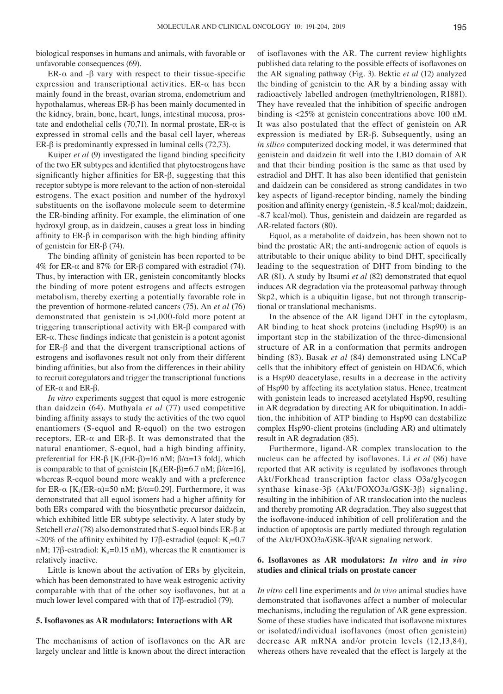biological responses in humans and animals, with favorable or unfavorable consequences (69).

ER- $\alpha$  and - $\beta$  vary with respect to their tissue-specific expression and transcriptional activities. ER-α has been mainly found in the breast, ovarian stroma, endometrium and hypothalamus, whereas ER-β has been mainly documented in the kidney, brain, bone, heart, lungs, intestinal mucosa, prostate and endothelial cells (70,71). In normal prostate,  $ER-\alpha$  is expressed in stromal cells and the basal cell layer, whereas ER-β is predominantly expressed in luminal cells (72,73).

Kuiper *et al* (9) investigated the ligand binding specificity of the two ER subtypes and identified that phytoestrogens have significantly higher affinities for ER‑β, suggesting that this receptor subtype is more relevant to the action of non-steroidal estrogens. The exact position and number of the hydroxyl substituents on the isoflavone molecule seem to determine the ER‑binding affinity. For example, the elimination of one hydroxyl group, as in daidzein, causes a great loss in binding affinity to  $ER-\beta$  in comparison with the high binding affinity of genistein for ER-β (74).

The binding affinity of genistein has been reported to be 4% for ER-α and 87% for ER-β compared with estradiol (74). Thus, by interaction with ER, genistein concomitantly blocks the binding of more potent estrogens and affects estrogen metabolism, thereby exerting a potentially favorable role in the prevention of hormone-related cancers (75). An *et al* (76) demonstrated that genistein is >1,000-fold more potent at triggering transcriptional activity with ER-β compared with ER-α. These findings indicate that genistein is a potent agonist for ER-β and that the divergent transcriptional actions of estrogens and isoflavones result not only from their different binding affinities, but also from the differences in their ability to recruit coregulators and trigger the transcriptional functions of ER- $\alpha$  and ER- $\beta$ .

*In vitro* experiments suggest that equol is more estrogenic than daidzein (64). Muthyala *et al* (77) used competitive binding affinity assays to study the activities of the two equol enantiomers (S-equol and R-equol) on the two estrogen receptors, ER-α and ER-β. It was demonstrated that the natural enantiomer, S-equol, had a high binding affinity, preferential for ER-β [K<sub>i</sub>(ER-β)=16 nM; β/α=13 fold], which is comparable to that of genistein  $[K_i(ER-β)=6.7 \text{ nM}; \beta/\alpha=16]$ , whereas R-equol bound more weakly and with a preference for ER-α [K<sub>i</sub>(ER-α)=50 nM; β/α=0.29]. Furthermore, it was demonstrated that all equol isomers had a higher affinity for both ERs compared with the biosynthetic precursor daidzein, which exhibited little ER subtype selectivity. A later study by Setchell *et al* (78) also demonstrated that S-equol binds ER-β at ~20% of the affinity exhibited by 17 $\beta$ -estradiol (equol: K<sub>i</sub>=0.7 nM; 17β-estradiol: K<sub>d</sub>=0.15 nM), whereas the R enantiomer is relatively inactive.

Little is known about the activation of ERs by glycitein, which has been demonstrated to have weak estrogenic activity comparable with that of the other soy isoflavones, but at a much lower level compared with that of 17β-estradiol (79).

#### **5. Isoflavones as AR modulators: Interactions with AR**

The mechanisms of action of isoflavones on the AR are largely unclear and little is known about the direct interaction of isoflavones with the AR. The current review highlights published data relating to the possible effects of isoflavones on the AR signaling pathway (Fig. 3). Bektic *et al* (12) analyzed the binding of genistein to the AR by a binding assay with radioactively labelled androgen (methyltrienologen, R1881). They have revealed that the inhibition of specific androgen binding is <25% at genistein concentrations above 100 nM. It was also postulated that the effect of genistein on AR expression is mediated by ER-β. Subsequently, using an *in silico* computerized docking model, it was determined that genistein and daidzein fit well into the LBD domain of AR and that their binding position is the same as that used by estradiol and DHT. It has also been identified that genistein and daidzein can be considered as strong candidates in two key aspects of ligand-receptor binding, namely the binding position and affinity energy (genistein, ‑8.5 kcal/mol; daidzein, ‑8.7 kcal/mol). Thus, genistein and daidzein are regarded as AR-related factors (80).

Equol, as a metabolite of daidzein, has been shown not to bind the prostatic AR; the anti-androgenic action of equols is attributable to their unique ability to bind DHT, specifically leading to the sequestration of DHT from binding to the AR (81). A study by Itsumi *et al* (82) demonstrated that equol induces AR degradation via the proteasomal pathway through Skp2, which is a ubiquitin ligase, but not through transcriptional or translational mechanisms.

In the absence of the AR ligand DHT in the cytoplasm, AR binding to heat shock proteins (including Hsp90) is an important step in the stabilization of the three-dimensional structure of AR in a conformation that permits androgen binding (83). Basak *et al* (84) demonstrated using LNCaP cells that the inhibitory effect of genistein on HDAC6, which is a Hsp90 deacetylase, results in a decrease in the activity of Hsp90 by affecting its acetylation status. Hence, treatment with genistein leads to increased acetylated Hsp90, resulting in AR degradation by directing AR for ubiquitination. In addition, the inhibition of ATP binding to Hsp90 can destabilize complex Hsp90-client proteins (including AR) and ultimately result in AR degradation (85).

Furthermore, ligand-AR complex translocation to the nucleus can be affected by isoflavones. Li *et al* (86) have reported that AR activity is regulated by isoflavones through Akt/Forkhead transcription factor class O3a/glycogen synthase kinase-3β (Akt/FOXO3a/GSK-3β) signaling, resulting in the inhibition of AR translocation into the nucleus and thereby promoting AR degradation. They also suggest that the isoflavone‑induced inhibition of cell proliferation and the induction of apoptosis are partly mediated through regulation of the Akt/FOXO3a/GSK-3β/AR signaling network.

# **6. Isoflavones as AR modulators:** *In vitro* **and** *in vivo*  **studies and clinical trials on prostate cancer**

*In vitro* cell line experiments and *in vivo* animal studies have demonstrated that isoflavones affect a number of molecular mechanisms, including the regulation of AR gene expression. Some of these studies have indicated that isoflavone mixtures or isolated/individual isoflavones (most often genistein) decrease AR mRNA and/or protein levels (12,13,84), whereas others have revealed that the effect is largely at the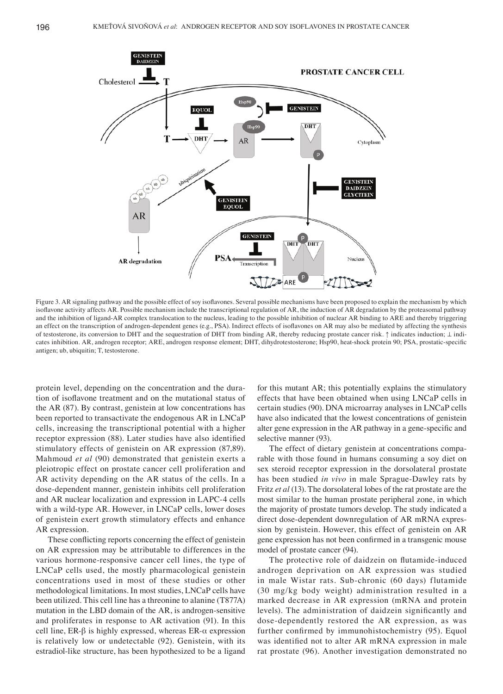

Figure 3. AR signaling pathway and the possible effect of soy isoflavones. Several possible mechanisms have been proposed to explain the mechanism by which isoflavone activity affects AR. Possible mechanism include the transcriptional regulation of AR, the induction of AR degradation by the proteasomal pathway and the inhibition of ligand-AR complex translocation to the nucleus, leading to the possible inhibition of nuclear AR binding to ARE and thereby triggering an effect on the transcription of androgen-dependent genes (e.g., PSA). Indirect effects of isoflavones on AR may also be mediated by affecting the synthesis of testosterone, its conversion to DHT and the sequestration of DHT from binding AR, thereby reducing prostate cancer risk. **↑** indicates induction; ⊥ indicates inhibition. AR, androgen receptor; ARE, androgen response element; DHT, dihydrotestosterone; Hsp90, heat-shock protein 90; PSA, prostatic-specific antigen; ub, ubiquitin; T, testosterone.

protein level, depending on the concentration and the duration of isoflavone treatment and on the mutational status of the AR (87). By contrast, genistein at low concentrations has been reported to transactivate the endogenous AR in LNCaP cells, increasing the transcriptional potential with a higher receptor expression (88). Later studies have also identified stimulatory effects of genistein on AR expression (87,89). Mahmoud *et al* (90) demonstrated that genistein exerts a pleiotropic effect on prostate cancer cell proliferation and AR activity depending on the AR status of the cells. In a dose-dependent manner, genistein inhibits cell proliferation and AR nuclear localization and expression in LAPC‑4 cells with a wild-type AR. However, in LNCaP cells, lower doses of genistein exert growth stimulatory effects and enhance AR expression.

These conflicting reports concerning the effect of genistein on AR expression may be attributable to differences in the various hormone-responsive cancer cell lines, the type of LNCaP cells used, the mostly pharmacological genistein concentrations used in most of these studies or other methodological limitations. In most studies, LNCaP cells have been utilized. This cell line has a threonine to alanine (T877A) mutation in the LBD domain of the AR, is androgen-sensitive and proliferates in response to AR activation (91). In this cell line, ER-β is highly expressed, whereas ER-α expression is relatively low or undetectable (92). Genistein, with its estradiol-like structure, has been hypothesized to be a ligand

for this mutant AR; this potentially explains the stimulatory effects that have been obtained when using LNCaP cells in certain studies (90). DNA microarray analyses in LNCaP cells have also indicated that the lowest concentrations of genistein alter gene expression in the AR pathway in a gene‑specific and selective manner (93).

The effect of dietary genistein at concentrations comparable with those found in humans consuming a soy diet on sex steroid receptor expression in the dorsolateral prostate has been studied *in vivo* in male Sprague-Dawley rats by Fritz *et al* (13). The dorsolateral lobes of the rat prostate are the most similar to the human prostate peripheral zone, in which the majority of prostate tumors develop. The study indicated a direct dose-dependent downregulation of AR mRNA expression by genistein. However, this effect of genistein on AR gene expression has not been confirmed in a transgenic mouse model of prostate cancer (94).

The protective role of daidzein on flutamide-induced androgen deprivation on AR expression was studied in male Wistar rats. Sub-chronic (60 days) flutamide (30 mg/kg body weight) administration resulted in a marked decrease in AR expression (mRNA and protein levels). The administration of daidzein significantly and dose-dependently restored the AR expression, as was further confirmed by immunohistochemistry (95). Equol was identified not to alter AR mRNA expression in male rat prostate (96). Another investigation demonstrated no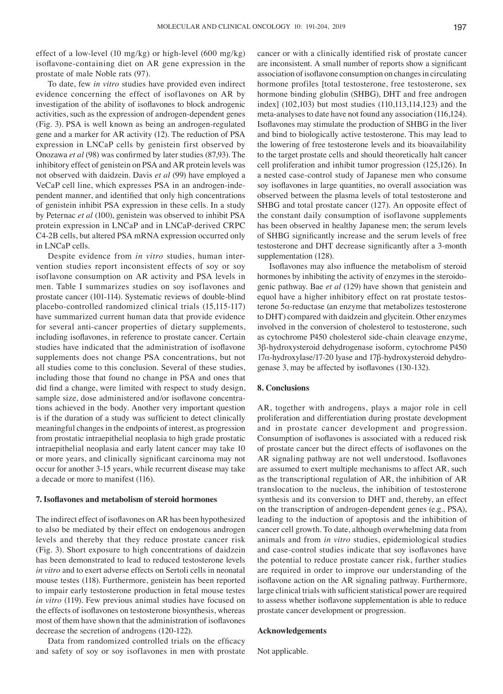effect of a low-level (10 mg/kg) or high-level (600 mg/kg) isoflavone‑containing diet on AR gene expression in the prostate of male Noble rats (97).

To date, few *in vitro* studies have provided even indirect evidence concerning the effect of isoflavones on AR by investigation of the ability of isoflavones to block androgenic activities, such as the expression of androgen-dependent genes (Fig. 3). PSA is well known as being an androgen-regulated gene and a marker for AR activity (12). The reduction of PSA expression in LNCaP cells by genistein first observed by Onozawa *et al* (98) was confirmed by later studies (87,93). The inhibitory effect of genistein on PSA and AR protein levels was not observed with daidzein. Davis *et al* (99) have employed a VeCaP cell line, which expresses PSA in an androgen-independent manner, and identified that only high concentrations of genistein inhibit PSA expression in these cells. In a study by Peternac *et al* (100), genistein was observed to inhibit PSA protein expression in LNCaP and in LNCaP-derived CRPC C4-2B cells, but altered PSA mRNA expression occurred only in LNCaP cells.

Despite evidence from *in vitro* studies, human intervention studies report inconsistent effects of soy or soy isoflavone consumption on AR activity and PSA levels in men. Table I summarizes studies on soy isoflavones and prostate cancer (101-114). Systematic reviews of double-blind placebo‑controlled randomized clinical trials (15,115-117) have summarized current human data that provide evidence for several anti-cancer properties of dietary supplements, including isoflavones, in reference to prostate cancer. Certain studies have indicated that the administration of isoflavone supplements does not change PSA concentrations, but not all studies come to this conclusion. Several of these studies, including those that found no change in PSA and ones that did find a change, were limited with respect to study design, sample size, dose administered and/or isoflavone concentrations achieved in the body. Another very important question is if the duration of a study was sufficient to detect clinically meaningful changes in the endpoints of interest, as progression from prostatic intraepithelial neoplasia to high grade prostatic intraepithelial neoplasia and early latent cancer may take 10 or more years, and clinically significant carcinoma may not occur for another 3-15 years, while recurrent disease may take a decade or more to manifest (116).

#### **7. Isoflavones and metabolism of steroid hormones**

The indirect effect of isoflavones on AR has been hypothesized to also be mediated by their effect on endogenous androgen levels and thereby that they reduce prostate cancer risk (Fig. 3). Short exposure to high concentrations of daidzein has been demonstrated to lead to reduced testosterone levels *in vitro* and to exert adverse effects on Sertoli cells in neonatal mouse testes (118). Furthermore, genistein has been reported to impair early testosterone production in fetal mouse testes *in vitro* (119). Few previous animal studies have focused on the effects of isoflavones on testosterone biosynthesis, whereas most of them have shown that the administration of isoflavones decrease the secretion of androgens (120-122).

Data from randomized controlled trials on the efficacy and safety of soy or soy isoflavones in men with prostate cancer or with a clinically identified risk of prostate cancer are inconsistent. A small number of reports show a significant association of isoflavone consumption on changes in circulating hormone profiles [total testosterone, free testosterone, sex hormone binding globulin (SHBG), DHT and free androgen index] (102,103) but most studies (110,113,114,123) and the meta-analyses to date have not found any association (116,124). Isoflavones may stimulate the production of SHBG in the liver and bind to biologically active testosterone. This may lead to the lowering of free testosterone levels and its bioavailability to the target prostate cells and should theoretically halt cancer cell proliferation and inhibit tumor progression (125,126). In a nested case-control study of Japanese men who consume soy isoflavones in large quantities, no overall association was observed between the plasma levels of total testosterone and SHBG and total prostate cancer (127). An opposite effect of the constant daily consumption of isoflavone supplements has been observed in healthy Japanese men; the serum levels of SHBG significantly increase and the serum levels of free testosterone and DHT decrease significantly after a 3‑month supplementation (128).

Isoflavones may also influence the metabolism of steroid hormones by inhibiting the activity of enzymes in the steroidogenic pathway. Bae *et al* (129) have shown that genistein and equol have a higher inhibitory effect on rat prostate testosterone 5α‑reductase (an enzyme that metabolizes testosterone to DHT) compared with daidzein and glycitein. Other enzymes involved in the conversion of cholesterol to testosterone, such as cytochrome P450 cholesterol side‑chain cleavage enzyme, 3β-hydroxysteroid dehydrogenase isoform, cytochrome P450 17α-hydroxylase/17-20 lyase and 17β-hydroxysteroid dehydrogenase 3, may be affected by isoflavones (130-132).

## **8. Conclusions**

AR, together with androgens, plays a major role in cell proliferation and differentiation during prostate development and in prostate cancer development and progression. Consumption of isoflavones is associated with a reduced risk of prostate cancer but the direct effects of isoflavones on the AR signaling pathway are not well understood. Isoflavones are assumed to exert multiple mechanisms to affect AR, such as the transcriptional regulation of AR, the inhibition of AR translocation to the nucleus, the inhibition of testosterone synthesis and its conversion to DHT and, thereby, an effect on the transcription of androgen-dependent genes (e.g., PSA), leading to the induction of apoptosis and the inhibition of cancer cell growth. To date, although overwhelming data from animals and from *in vitro* studies, epidemiological studies and case‑control studies indicate that soy isoflavones have the potential to reduce prostate cancer risk, further studies are required in order to improve our understanding of the isoflavone action on the AR signaling pathway. Furthermore, large clinical trials with sufficient statistical power are required to assess whether isoflavone supplementation is able to reduce prostate cancer development or progression.

## **Acknowledgements**

Not applicable.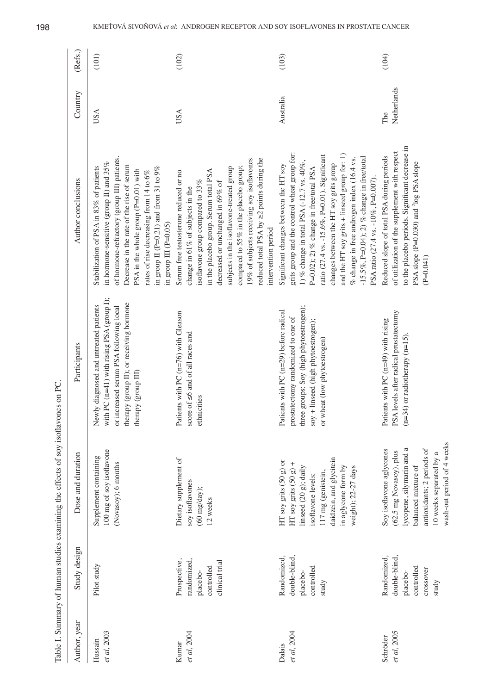| $\frac{1}{2}$                                                                                               |                           |
|-------------------------------------------------------------------------------------------------------------|---------------------------|
|                                                                                                             |                           |
| $\frac{1}{2}$ immortant numeral distribution of the effect of contraction of examples on $\frac{1}{2}$<br>ļ | $\ddot{\phantom{a}}$<br>i |
|                                                                                                             |                           |
|                                                                                                             |                           |
|                                                                                                             |                           |
|                                                                                                             |                           |
|                                                                                                             | J                         |
|                                                                                                             | ļ                         |
|                                                                                                             |                           |
|                                                                                                             |                           |
|                                                                                                             | $\frac{1}{2}$             |
|                                                                                                             |                           |

|                         |                                                                             | Table I. Summary of human studies examining the effects of soy isoflavones on PC                                                                                                                          |                                                                                                                                                                                                    |                                                                                                                                                                                                                                                                                                                                                                                                                                                                |                    |         |
|-------------------------|-----------------------------------------------------------------------------|-----------------------------------------------------------------------------------------------------------------------------------------------------------------------------------------------------------|----------------------------------------------------------------------------------------------------------------------------------------------------------------------------------------------------|----------------------------------------------------------------------------------------------------------------------------------------------------------------------------------------------------------------------------------------------------------------------------------------------------------------------------------------------------------------------------------------------------------------------------------------------------------------|--------------------|---------|
| Author, year            | Study design                                                                | Dose and duration                                                                                                                                                                                         | Participants                                                                                                                                                                                       | Author conclusions                                                                                                                                                                                                                                                                                                                                                                                                                                             | Country            | (Refs.) |
| et al, 2003<br>Hussain  | Pilot study                                                                 | 100 mg of soy isoflavone<br>Supplement containing<br>(Novasoy); 6 months                                                                                                                                  | with PC $(n=41)$ with rising PSA (group I);<br>therapy (group II); or receiving hormone<br>Newly diagnosed and untreated patients<br>or increased serum PSA following local<br>therapy (group III) | of hormone-refractory (group III) patients.<br>in hormone-sensitive (group II) and $35\%$<br>Decrease in the rate of the rise of serum<br>Stabilization of PSA in 83% of patients<br>in group II (P=0.21) and from 31 to $9\%$<br>PSA in the whole group $(P=0.01)$ with<br>rates of rise decreasing from 14 to $6\%$<br>in group III ( $P=0.05$ )                                                                                                             | <b>USA</b>         | (101)   |
| et al, 2004<br>Kumar    | Prospective,<br>randomized,<br>clinical trial<br>controlled<br>placebo-     | Dietary supplement of<br>soy isoflavones<br>$(60 \text{ mg/day});$<br>12 weeks                                                                                                                            | atients with PC (n=76) with Gleason<br>score of $\leq$ 6 and of all races and<br>ethnicities                                                                                                       | reduced total PSA by $\geq$ 2 points during the<br>19% of subjects receiving soy isoflavones<br>compared to 55% in the placebo group;<br>subjects in the isoflavone-treated group<br>in the placebo group. Serum total PSA<br>Serum free testosterone reduced or no<br>isoflavone group compared to 33%<br>decreased or unchanged in 69% of<br>change in 61% of subjects in the<br>intervention period                                                         | USA                | (102)   |
| et al, 2004<br>Dalais   | double-blind,<br>Randomized,<br>controlled<br>placebo-<br>study             | daidzein, and glycitein<br>HT soy grits (50 g) or<br>HT soy grits $(50 g)$ +<br>in aglycone form by<br>weight); 22-27 days<br>linseed (20 g); daily<br>117 mg (genistein,<br>isoflavone levels:           | three groups: Soy (high phytoestrogen);<br>atients with PC $(n=29)$ before radical<br>prostatectomy randomized to one of<br>soy + linseed (high phytoestrogen);<br>or wheat (low phytoestrogen)    | grits group and the control wheat group for:<br>and the HT soy grits + linseed group for: 1)<br>ratio (27.4 vs. -15.6%, P=0.01). Significant<br>$-15.5\%$ , P=0.04); 2) % change in free/total<br>$%$ change in free androgen index (16.4 vs.<br>1) % change in total PSA (-12.7 vs. 40%,<br>changes between the HT soy grits group<br>Significant changes between the HT soy<br>P=0.02); 2) % change in free/total PSA<br>PSA ratio (27.4 vs. -10%, P=0.007). | Australia          | (103)   |
| et al, 2005<br>Schröder | Randomized,<br>double-blind<br>controlled<br>crossover<br>placebo-<br>study | wash-out period of 4 weeks<br>lycopene, silymarin and a<br>antioxidants; 2 periods of<br>Soy isoflavone aglycones<br>$(62.5 \text{ mg Novasoy})$ , plus<br>10 weeks separated by a<br>balanced mixture of | PSA levels after radical prostatectomy<br>Patients with PC $(n=49)$ with rising<br>$(n=34)$ or radiotherapy $(n=15)$                                                                               | to the placebo periods. Significant decrease in<br>of utilization of the supplement with respect<br>Reduced slope of total PSA during periods<br>PSA slope (P=0.030) and <sup>2</sup> log PSA slope<br>$(P=0.041)$                                                                                                                                                                                                                                             | Netherlands<br>The | (104)   |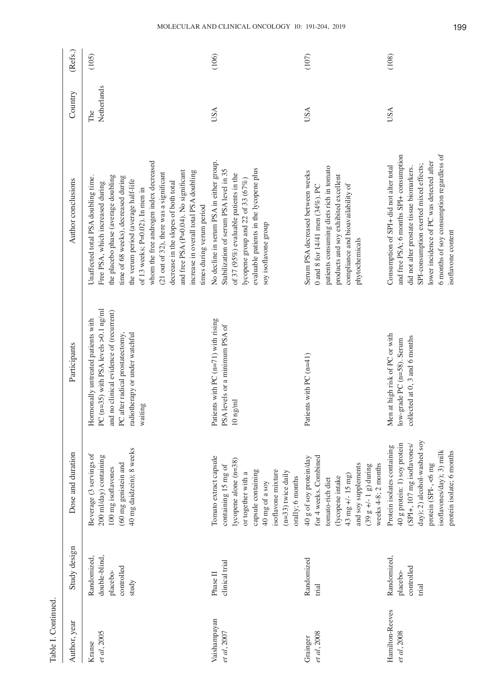| Table I. Continued             |                                                                 |                                                                                                                                                                                                            |                                                                                                                                                                                                               |                                                                                                                                                                                                                                                                                                                                                                                                                                                                              |                    |         |
|--------------------------------|-----------------------------------------------------------------|------------------------------------------------------------------------------------------------------------------------------------------------------------------------------------------------------------|---------------------------------------------------------------------------------------------------------------------------------------------------------------------------------------------------------------|------------------------------------------------------------------------------------------------------------------------------------------------------------------------------------------------------------------------------------------------------------------------------------------------------------------------------------------------------------------------------------------------------------------------------------------------------------------------------|--------------------|---------|
| Author, year                   | Study design                                                    | Dose and duration                                                                                                                                                                                          | Participants                                                                                                                                                                                                  | Author conclusions                                                                                                                                                                                                                                                                                                                                                                                                                                                           | Country            | (Refs.) |
| et al, 2005<br>Kranse          | double-blind,<br>Randomized,<br>controlled<br>placebo-<br>study | 40 mg daidzein); 8 weeks<br>Beverage (3 servings of<br>200 ml/day) containing<br>(60 mg genistein and<br>100 mg isoflavones                                                                                | (n=35) with PSA levels $>0.1$ ng/ml<br>and no clinical evidence of (recurrent)<br>Hormonally untreated patients with<br>radiotherapy or under watchful<br>after radical prostatectomy,<br>waiting<br>PC<br>PC | whom the free androgen index decreased<br>and free PSA (P=0.04). No significant<br>increase in overall total PSA doubling<br>(21 out of 32), there was a significant<br>the placebo phase (average doubling<br>Unaffected total PSA doubling time.<br>time of 68 weeks), decreased during<br>the verum period (average half-life<br>Free PSA, which increased during<br>decrease in the slopes of both total<br>of 13 weeks; P=0.02). In men in<br>times during verum period | Netherlands<br>The | (105)   |
| Vaishampayan<br>et al, 2007    | clinical trial<br>Phase II                                      | Tomato extract capsule<br>lycopene alone (n=38)<br>containing 15 mg of<br>capsule containing<br>isoflavone mixture<br>$(n=33)$ twice daily<br>or together with a<br>orally; 6 months<br>40 mg of a soy     | Patients with PC $(n=71)$ with rising<br>PSA levels or a minimum PSA of<br>$10~\mathrm{ng}/\mathrm{m}$                                                                                                        | No decline in serum PSA in either group.<br>evaluable patients in the lycopene plus<br>Stabilization of serum PSA level in 35<br>of 37 (95%) evaluable patients in the<br>lycopene group and 22 of 33 (67%)<br>soy isoflavone group                                                                                                                                                                                                                                          | USA                | (106)   |
| et al, 2008<br>Grainger        | Randomized<br>trial                                             | for 4 weeks. Combined<br>40 g of soy protein/day<br>and soy supplements<br>weeks 4-8; 2 months<br>$(39 g +/- 1 g)$ during<br>43 mg +/- 15 mg)<br>(lycopene intake<br>tomato-rich diet                      | Patients with PC $(n=41)$                                                                                                                                                                                     | patients consuming diets rich in tomato<br>Serum PSA decreased between weeks<br>products and soy exhibited excellent<br>compliance and bioavailability of<br>0 and 8 for $14/41$ men $(34\%)$ . PC<br>phytochemicals                                                                                                                                                                                                                                                         | USA                | (107)   |
| Hamilton-Reeves<br>et al, 2008 | Randomized,<br>controlled<br>placebo-<br>trial                  | day); 2) alcohol-washed soy<br>40 g protein: 1) soy protein<br>(SPI+, 107 mg isoflavones/<br>Protein isolates containing<br>isoflavones/day); 3) milk<br>protein isolate; 6 months<br>protein (SPI-, <6 mg | Men at high risk of PC or with<br>collected at 0, 3 and 6 months<br>low-grade PC (n=58). Serum                                                                                                                | and free PSA; 6 months SPI+ consumption<br>6 months of soy consumption regardless of<br>lower incidence of PC was detected after<br>SPI-consumption exerted mixed effects;<br>Consumption of SPI+ did not alter total<br>did not alter prostate tissue biomarkers.<br>isoflavone content                                                                                                                                                                                     | USA                | (108)   |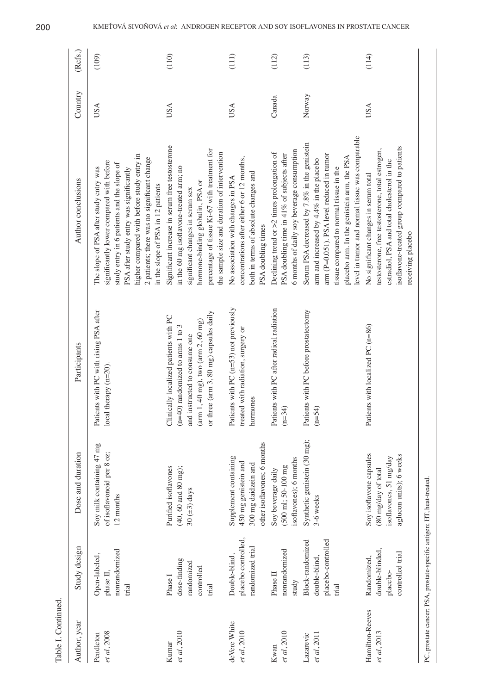| Table I. Continued             |                                                                        |                                                                                                     |                                                                                                                                                                                                   |                                                                                                                                                                                                                                                                                                                |            |         |
|--------------------------------|------------------------------------------------------------------------|-----------------------------------------------------------------------------------------------------|---------------------------------------------------------------------------------------------------------------------------------------------------------------------------------------------------|----------------------------------------------------------------------------------------------------------------------------------------------------------------------------------------------------------------------------------------------------------------------------------------------------------------|------------|---------|
| Author, year                   | Study design                                                           | Dose and duration                                                                                   | Participants                                                                                                                                                                                      | Author conclusions                                                                                                                                                                                                                                                                                             | Country    | (Refs.) |
| et al, 2008<br>Pendleton       | nonrandomized<br>Open-labeled,<br>phase II,<br>trial                   | Soy milk containing 47 mg<br>of isoflavonoid per 8 oz;<br>12 months                                 | Patients with PC with rising PSA after<br>:al therapy (n=20)<br>$\overline{c}$                                                                                                                    | higher compared with before study entry in<br>2 patients; there was no significant change<br>significantly lower compared with before<br>study entry in 6 patients and the slope of<br>The slope of PSA after study entry was<br>PSA after study entry was significantly<br>in the slope of PSA in 12 patients | <b>USA</b> | (109)   |
| et al, 2010<br>Kumar           | dose-finding<br>randomized<br>controlled<br>Phase I<br>trial           | $(40, 60 \text{ and } 80 \text{ mg});$<br>Purified isoflavones<br>30 $(\pm 3)$ days                 | or three (arm 3, 80 mg) capsules daily<br>Clinically localized patients with PC<br>$(arm 1, 40 mg)$ , two $(arm 2, 60 mg)$<br>$(n=40)$ randomized to arms 1 to 3<br>and instructed to consume one | Significant increase in serum free testosterone<br>percentage of tissue Ki-67 with treatment for<br>the sample size and duration of intervention<br>in the 60 mg isoflavone-treated arm; no<br>hormone-binding globulin, PSA or<br>significant changes in serum sex                                            | <b>USA</b> | (110)   |
| deVere White<br>et al, 2010    | placebo controlled,<br>randomized trial<br>Double-blind,               | other isoflavones; 6 months<br>Supplement containing<br>450 mg genistein and<br>300 mg daidzein and | Patients with PC $(n=53)$ not previously<br>treated with radiation, surgery or<br>hormones                                                                                                        | concentrations after either 6 or 12 months,<br>both in terms of absolute changes and<br>No association with changes in PSA<br>PSA doubling times                                                                                                                                                               | USA        | (111)   |
| et al, 2010<br>Kwan            | nonrandomized<br>Phase II<br>study                                     | soflavones); 6 months<br>(500 ml; 50-100 mg<br>Soy beverage daily                                   | Patients with PC after radical radiation<br>$(n=34)$                                                                                                                                              | 6 months of daily soy beverage consumption<br>Declining trend or $>2$ times prolongation of<br>PSA doubling time in 41% of subjects after                                                                                                                                                                      | Canada     | (112)   |
| et al, 2011<br>Lazarevic       | Block-randomized<br>placebo-controlled<br>double-blind,<br>trial       | Synthetic genistein (30 mg);<br>3-6 weeks                                                           | Patients with PC before prostatectomy<br>$(n=54)$                                                                                                                                                 | level in tumor and normal tissue was comparable<br>Serum PSA decreased by 7.8% in the genistein<br>arm (P=0.051). PSA level reduced in tumor<br>placebo arm. In the genistein arm, the PSA<br>arm and increased by 4.4% in the placebo<br>tissue compared to normal tissue in the                              | Norway     | (113)   |
| Hamilton-Reeves<br>et al, 2013 | double-blinded,<br>controlled trial<br>Randomized,<br>placebo-         | Soy isoflavone capsules<br>aglucon units); 6 weeks<br>isoflavones, 51 mg/day<br>(80 mg/day of total | Patients with localized PC (n=86)                                                                                                                                                                 | isoflavone-treated group compared to patients<br>testosterone, free testosterone, total estrogen,<br>estradiol, PSA and total cholesterol in the<br>No significant changes in serum total<br>receiving placebo                                                                                                 | <b>USA</b> | (114)   |
|                                | PC, prostate cancer; PSA, prostate-specific antigen; HT, heat-treated. |                                                                                                     |                                                                                                                                                                                                   |                                                                                                                                                                                                                                                                                                                |            |         |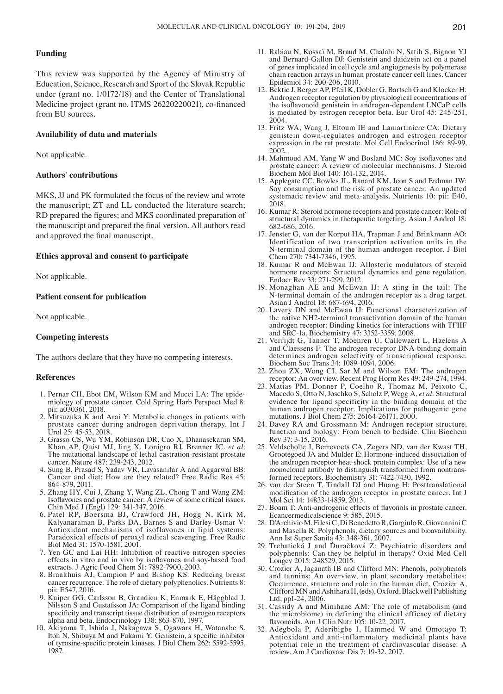# **Funding**

This review was supported by the Agency of Ministry of Education, Science, Research and Sport of the Slovak Republic under (grant no. 1/0172/18) and the Center of Translational Medicine project (grant no. ITMS 26220220021), co-financed from EU sources.

## **Availability of data and materials**

Not applicable.

## **Authors' contributions**

MKS, JJ and PK formulated the focus of the review and wrote the manuscript; ZT and LL conducted the literature search; RD prepared the figures; and MKS coordinated preparation of the manuscript and prepared the final version. All authors read and approved the final manuscript.

#### **Ethics approval and consent to participate**

Not applicable.

### **Patient consent for publication**

Not applicable.

#### **Competing interests**

The authors declare that they have no competing interests.

#### **References**

- 1. Pernar CH, Ebot EM, Wilson KM and Mucci LA: The epide-<br>miology of prostate cancer. Cold Spring Harb Perspect Med 8:<br>pii: a030361, 2018.
- 2. Mitsuzuka K and Arai Y: Metabolic changes in patients with prostate cancer during androgen deprivation therapy. Int J Urol 25: 45-53, 2018.
- 3. Grasso CS, Wu YM, Robinson DR, Cao X, Dhanasekaran SM, Khan AP, Quist MJ, Jing X, Lonigro RJ, Brenner JC, et al: The mutational landscape of lethal castration-resistant prostate cancer. Nature 487: 239-243, 2012.
- 4. Sung B, Prasad S, Yadav VR, Lavasanifar A and Aggarwal BB: Cancer and diet: How are they related? Free Radic Res 45: 864-879, 2011.
- 5. Zhang HY, Cui J, Zhang Y, Wang ZL, Chong T and Wang ZM: Isoflavones and prostate cancer: A review of some critical issues. Chin Med J (Engl) 129: 341-347, 2016.
- 6. Patel RP, Boersma BJ, Crawford JH, Hogg N, Kirk M, Kalyanaraman B, Parks DA, Barnes S and Darley-Usmar V: Antioxidant mechanisms of isoflavones in lipid systems: Paradoxical effects of peroxyl radical scavenging. Free Radic Biol Med 31: 1570-1581, 2001.
- 7. Yen GC and Lai HH: Inhibition of reactive nitrogen species effects in vitro and in vivo by isoflavones and soy‑based food extracts. J Agric Food Chem 51: 7892-7900, 2003.
- 8. Braakhuis AJ, Campion P and Bishop KS: Reducing breast cancer recurrence: The role of dietary polyphenolics. Nutrients 8: pii: E547, 2016.
- 9. Kuiper GG, Carlsson B, Grandien K, Enmark E, Häggblad J, Nilsson S and Gustafsson JA: Comparison of the ligand binding specificity and transcript tissue distribution of estrogen receptors alpha and beta. Endocrinology 138: 863-870, 1997.
- 10. Akiyama T, Ishida J, Nakagawa S, Ogawara H, Watanabe S, Itoh N, Shibuya M and Fukami Y: Genistein, a specific inhibitor of tyrosine‑specific protein kinases. J Biol Chem 262: 5592‑5595, 1987.
- 11. Rabiau N, Kossaï M, Braud M, Chalabi N, Satih S, Bignon YJ and Bernard‑Gallon DJ: Genistein and daidzein act on a panel of genes implicated in cell cycle and angiogenesis by polymerase chain reaction arrays in human prostate cancer cell lines. Cancer Epidemiol 34: 200-206, 2010.
- 12. Bektic J, Berger AP, Pfeil K, Dobler G, Bartsch G and Klocker H: Androgen receptor regulation by physiological concentrations of the isoflavonoid genistein in androgen‑dependent LNCaP cells is mediated by estrogen receptor beta. Eur Urol 45: 245-251, 2004.
- 13. Fritz WA, Wang J, Eltoum IE and Lamartiniere CA: Dietary genistein down-regulates androgen and estrogen receptor expression in the rat prostate. Mol Cell Endocrinol 186: 89-99, 2002.
- 14. Mahmoud AM, Yang W and Bosland MC: Soy isoflavones and prostate cancer: A review of molecular mechanisms. J Steroid Biochem Mol Biol 140: 161-132, 2014.
- 15. Applegate CC, Rowles JL, Ranard KM, Jeon S and Erdman JW: Soy consumption and the risk of prostate cancer: An updated systematic review and meta-analysis. Nutrients 10: pii: E40, 2018.
- 16. Kumar R: Steroid hormone receptors and prostate cancer: Role of structural dynamics in therapeutic targeting. Asian J Androl 18: 682-686, 2016.
- 17. Jenster G, van der Korput HA, Trapman J and Brinkmann AO: Identification of two transcription activation units in the N-terminal domain of the human androgen receptor. J Biol Chem 270: 7341-7346, 1995.
- 18. Kumar R and McEwan IJ: Allosteric modulators of steroid hormone receptors: Structural dynamics and gene regulation. Endocr Rev 33: 271-299, 2012.
- 19. Monaghan AE and McEwan IJ: A sting in the tail: The N-terminal domain of the androgen receptor as a drug target. Asian J Androl 18: 687-694, 2016.
- 20. Lavery DN and McEwan IJ: Functional characterization of the native NH2-terminal transactivation domain of the human androgen receptor: Binding kinetics for interactions with TFIIF and SRC-1a. Biochemistry 47: 3352-3359, 2008.
- 21. Verrijdt G, Tanner T, Moehren U, Callewaert L, Haelens A and Claessens F: The androgen receptor DNA-binding domain determines androgen selectivity of transcriptional response. Biochem Soc Trans 34: 1089-1094, 2006.
- 22. Zhou ZX, Wong CI, Sar M and Wilson EM: The androgen receptor: An overview. Recent Prog Horm Res 49: 249-274, 1994.
- 23. Matias PM, Donner P, Coelho R, Thomaz M, Peixoto C, Macedo S, Otto N, Joschko S, Scholz P, Wegg A, *et al*: Structural evidence for ligand specificity in the binding domain of the human androgen receptor. Implications for pathogenic gene mutations. J Biol Chem 275: 26164-26171, 2000.
- 24. Davey RA and Grossmann M: Androgen receptor structure, function and biology: From bench to bedside. Clin Biochem Rev 37: 3-15, 2016.
- 25. Veldscholte J, Berrevoets CA, Zegers ND, van der Kwast TH, Grootegoed JA and Mulder E: Hormone-induced dissociation of the androgen receptor-heat-shock protein complex: Use of a new monoclonal antibody to distinguish transformed from nontransformed receptors. Biochemistry 31: 7422-7430, 1992.
- 26. van der Steen T, Tindall DJ and Huang H: Posttranslational modification of the androgen receptor in prostate cancer. Int J Mol Sci 14: 14833-14859, 2013.
- 27. Boam T: Anti‑androgenic effects of flavonols in prostate cancer. Ecancermedicalscience 9: 585, 2015.
- 28. D'Archivio M, Filesi C, Di Benedetto R, Gargiulo R, Giovannini C and Masella R: Polyphenols, dietary sources and bioavailability. Ann Ist Super Sanita 43: 348-361, 2007.
- 29. Trebatická J and Ďuračková Z: Psychiatric disorders and polyphenols: Can they be helpful in therapy? Oxid Med Cell Longev 2015: 248529, 2015.
- 30. Crozier A, Jaganath IB and Clifford MN: Phenols, polyphenols and tannins: An overview, in plant secondary metabolites: Occurrence, structure and role in the human diet, Crozier A, Clifford MN and Ashihara H, (eds), Oxford, Blackwell Publishing
- 31. Cassidy A and Minihane AM: The role of metabolism (and the microbiome) in defining the clinical efficacy of dietary flavonoids. Am J Clin Nutr 105: 10-22, 2017.
- 32. Adegbola P, Aderibigbe I, Hammed W and Omotayo T: Antioxidant and anti-inflammatory medicinal plants have potential role in the treatment of cardiovascular disease: A review. Am J Cardiovasc Dis 7: 19-32, 2017.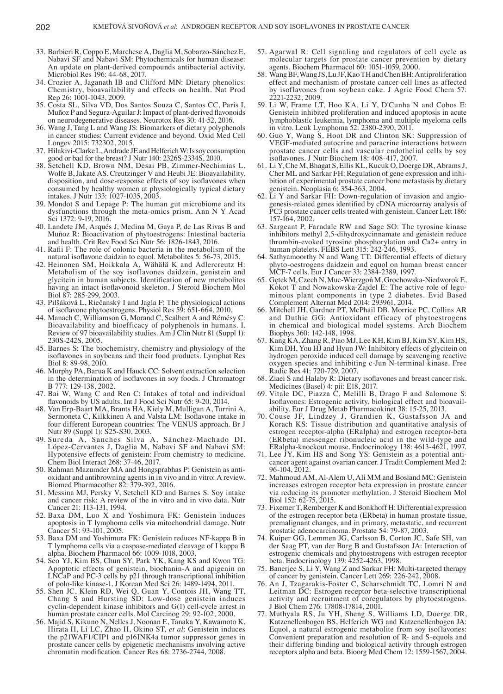- 33. Barbieri R, Coppo E, Marchese A, Daglia M, Sobarzo‑Sánchez E, Nabavi SF and Nabavi SM: Phytochemicals for human disease: An update on plant-derived compounds antibacterial activity. Microbiol Res 196: 44-68, 2017.
- 34. Crozier A, Jaganath IB and Clifford MN: Dietary phenolics: Chemistry, bioavailability and effects on health. Nat Prod Rep 26: 1001-1043, 2009.
- 35. Costa SL, Silva VD, Dos Santos Souza C, Santos CC, Paris I, Muñoz P and Segura-Aguilar J: Impact of plant-derived flavonoids on neurodegenerative diseases. Neurotox Res 30: 41-52, 2016.
- 36. Wang J, Tang L and Wang JS: Biomarkers of dietary polyphenols in cancer studies: Current evidence and beyond. Oxid Med Cell Longev 2015: 732302, 2015.
- 37. Hilakivi-ClarkeL, Andrade JE and HelferichW: Is soy consumption good or bad for the breast? J Nutr 140: 2326S-2334S, 2010.
- 38. Setchell KD, Brown NM, Desai PB, Zimmer-Nechimias L, Wolfe B, Jakate AS, Creutzinger V and Heubi JE: Bioavailability, disposition, and dose-response effects of soy isoflavones when consumed by healthy women at physiologically typical dietary intakes. J Nutr 133: 1027-1035, 2003.
- 39. Mondot S and Lepage P: The human gut microbiome and its dysfunctions through the meta-omics prism. Ann N Y Acad Sci 1372: 9-19, 2016.
- 40. Landete JM, Arqués J, Medina M, Gaya P, de Las Rivas B and Muñoz R: Bioactivation of phytoestrogens: Intestinal bacteria and health. Crit Rev Food Sci Nutr 56: 1826-1843, 2016.
- 41. Rafii F: The role of colonic bacteria in the metabolism of the natural isoflavone daidzin to equol. Metabolites 5: 56‑73, 2015.
- 42. Heinonen SM, Hoikkala A, Wähälä K and Adlercreutz H: Metabolism of the soy isoflavones daidzein, genistein and glycitein in human subjects. Identification of new metabolites having an intact isoflavonoid skeleton. J Steroid Biochem Mol Biol 87: 285-299, 2003.
- 43. Pilšáková L, Riečanský I and Jagla F: The physiological actions of isoflavone phytoestrogens. Physiol Res 59: 651‑664, 2010.
- 44. Manach C, Williamson G, Morand C, Scalbert A and Rémésy C: Bioavailability and bioefficacy of polyphenols in humans. I. Review of 97 bioavailability studies. Am J Clin Nutr 81 (Suppl 1): 230S-242S, 2005.
- 45. Barnes S: The biochemistry, chemistry and physiology of the isoflavones in soybeans and their food products. Lymphat Res Biol 8: 89-98, 2010.
- 46. Murphy PA, Barua K and Hauck CC: Solvent extraction selection in the determination of isoflavones in soy foods. J Chromatogr B 777: 129-138, 2002.
- 47. Bai W, Wang C and Ren C: Intakes of total and individual flavonoids by US adults. Int J Food Sci Nutr 65: 9‑20, 2014.
- 48. Van Erp-Baart MA, Brants HA, Kiely M, Mulligan A, Turrini A, Sermoneta C, Kilkkinen A and Valsta LM: Isoflavone intake in four different European countries: The VENUS approach. Br J Nutr 89 (Suppl 1): S25-S30, 2003.
- 49. Sureda A, Sanches Silva A, Sánchez‑Machado DI, López‑Cervantes J, Daglia M, Nabavi SF and Nabavi SM: Hypotensive effects of genistein: From chemistry to medicine. Chem Biol Interact 268: 37-46, 2017.
- 50. Rahman Mazumder MA and Hongsprabhas P: Genistein as antioxidant and antibrowning agents in in vivo and in vitro: A review. Biomed Pharmacother 82: 379-392, 2016.
- 51. Messina MJ, Persky V, Setchell KD and Barnes S: Soy intake and cancer risk: A review of the in vitro and in vivo data. Nutr Cancer 21: 113-131, 1994.
- 52. Baxa DM, Luo X and Yoshimura FK: Genistein induces apoptosis in T lymphoma cells via mitochondrial damage. Nutr Cancer 51: 93-101, 2005.
- 53. Baxa DM and Yoshimura FK: Genistein reduces NF-kappa B in T lymphoma cells via a caspase-mediated cleavage of I kappa B alpha. Biochem Pharmacol 66: 1009-1018, 2003.
- 54. Seo YJ, Kim BS, Chun SY, Park YK, Kang KS and Kwon TG: Apoptotic effects of genistein, biochanin-A and apigenin on LNCaP and PC-3 cells by p21 through transcriptional inhibition of polo-like kinase-1. J Korean Med Sci 26: 1489-1494, 2011.
- 55. Shen JC, Klein RD, Wei Q, Guan Y, Contois JH, Wang TT, Chang S and Hursting SD: Low-dose genistein induces cyclin-dependent kinase inhibitors and G(1) cell-cycle arrest in human prostate cancer cells. Mol Carcinog 29: 92-102, 2000.
- 56. Majid S, Kikuno N, Nelles J, Noonan E, Tanaka Y, Kawamoto K, Hirata H, Li LC, Zhao H, Okino ST, *et al*: Genistein induces the p21WAF1/CIP1 and p16INK4a tumor suppressor genes in prostate cancer cells by epigenetic mechanisms involving active chromatin modification. Cancer Res 68: 2736‑2744, 2008.
- 57. Agarwal R: Cell signaling and regulators of cell cycle as molecular targets for prostate cancer prevention by dietary agents. Biochem Pharmacol 60: 1051-1059, 2000.
- 58. WangBF, Wang JS, Lu JF, KaoTH and ChenBH: Antiproliferation effect and mechanism of prostate cancer cell lines as affected by isoflavones from soybean cake. J Agric Food Chem 57: 2221-2232, 2009.
- 59. Li W, Frame LT, Hoo KA, Li Y, D'Cunha N and Cobos E: Genistein inhibited proliferation and induced apoptosis in acute lymphoblastic leukemia, lymphoma and multiple myeloma cells in vitro. Leuk Lymphoma 52: 2380-2390, 2011.
- 60. Guo Y, Wang S, Hoot DR and Clinton SK: Suppression of VEGF-mediated autocrine and paracrine interactions between prostate cancer cells and vascular endothelial cells by soy isoflavones. J Nutr Biochem 18: 408‑417, 2007.
- 61. Li Y, Che M, Bhagat S, Ellis KL, Kucuk O, Doerge DR, AbramsJ, Cher ML and Sarkar FH: Regulation of gene expression and inhibition of experimental prostate cancer bone metastasis by dietary genistein. Neoplasia 6: 354-363, 2004.
- 62. Li Y and Sarkar FH: Down-regulation of invasion and angiogenesis‑related genes identified by cDNA microarray analysis of PC3 prostate cancer cells treated with genistein. Cancer Lett 186: 157-164, 2002.
- 63. Sargeant P, Farndale RW and Sage SO: The tyrosine kinase inhibitors methyl 2,5-dihydroxycinnamate and genistein reduce thrombin-evoked tyrosine phosphorylation and Ca2+ entry in human platelets. FEBS Lett 315: 242-246, 1993.
- 64. Sathyamoorthy N and Wang TT: Differential effects of dietary phyto‑oestrogens daidzein and equol on human breast cancer MCF-7 cells. Eur J Cancer 33: 2384-2389, 1997.
- 65. Gętek M, Czech N, Muc‑Wierzgoń M, Grochowska‑Niedworok E, Kokot T and Nowakowska-Zajdel E: The active role of leguminous plant components in type 2 diabetes. Evid Based Complement Alternat Med 2014: 293961, 2014.
- 66. Mitchell JH, Gardner PT, McPhail DB, Morrice PC, Collins AR and Duthie GG: Antioxidant efficacy of phytoestrogens in chemical and biological model systems. Arch Biochem Biophys 360: 142-148, 1998.
- 67. Kang KA, Zhang R, Piao MJ, Lee KH, Kim BJ, Kim SY, Kim HS, Kim DH, You HJ and Hyun JW: Inhibitory effects of glycitein on hydrogen peroxide induced cell damage by scavenging reactive oxygen species and inhibiting c-Jun N-terminal kinase. Free Radic Res 41: 720-729, 2007.
- 68. Ziaei S and Halaby R: Dietary isoflavones and breast cancer risk. Medicines (Basel) 4: pii: E18, 2017.
- 69. Vitale DC, Piazza C, Melilli B, Drago F and Salomone S: Isoflavones: Estrogenic activity, biological effect and bioavailability. Eur J Drug Metab Pharmacokinet 38: 15-25, 2013.
- 70. Couse JF, Lindzey J, Grandien K, Gustafsson JA and Korach KS: Tissue distribution and quantitative analysis of estrogen receptor-alpha (ERalpha) and estrogen receptor-beta (ERbeta) messenger ribonucleic acid in the wild-type and ERalpha-knockout mouse. Endocrinology 138: 4613-4621, 1997.
- 71. Lee JY, Kim HS and Song YS: Genistein as a potential anticancer agent against ovarian cancer. J Tradit Complement Med 2: 96-104, 2012.
- 72. Mahmoud AM, Al-Alem U, Ali MM and Bosland MC: Genistein increases estrogen receptor beta expression in prostate cancer via reducing its promoter methylation. J Steroid Biochem Mol Biol 152: 62-75, 2015.
- 73. Fixemer T, Remberger K and Bonkhoff H: Differential expression of the estrogen receptor beta (ERbeta) in human prostate tissue, premalignant changes, and in primary, metastatic, and recurrent prostatic adenocarcinoma. Prostate 54: 79-87, 2003.
- 74. Kuiper GG, Lemmen JG, Carlsson B, Corton JC, Safe SH, van der Saag PT, van der Burg B and Gustafsson JA: Interaction of estrogenic chemicals and phytoestrogens with estrogen receptor beta. Endocrinology 139: 4252-4263, 1998.
- 75. Banerjee S, Li Y, Wang Z and Sarkar FH: Multi-targeted therapy of cancer by genistein. Cancer Lett 269: 226-242, 2008.
- 76. An J, Tzagarakis‑Foster C, Scharschmidt TC, Lomri N and Leitman DC: Estrogen receptor beta-selective transcriptional activity and recruitment of coregulators by phytoestrogens. J Biol Chem 276: 17808-17814, 2001.
- 77. Muthyala RS, Ju YH, Sheng S, Williams LD, Doerge DR, Katzenellenbogen BS, Helferich WG and Katzenellenbogen JA: Equol, a natural estrogenic metabolite from soy isoflavones: Convenient preparation and resolution of R- and S-equols and their differing binding and biological activity through estrogen receptors alpha and beta. Bioorg Med Chem 12: 1559-1567, 2004.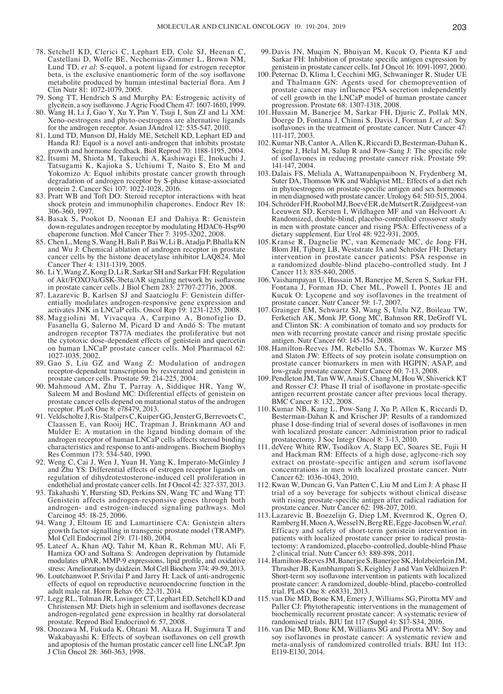- 78. Setchell KD, Clerici C, Lephart ED, Cole SJ, Heenan C, Castellani D, Wolfe BE, Nechemias-Zimmer L, Brown NM, Lund TD, *et al*: S-equol, a potent ligand for estrogen receptor beta, is the exclusive enantiomeric form of the soy isoflavone metabolite produced by human intestinal bacterial flora. Am J Clin Nutr 81: 1072-1079, 2005.
- 79. Song TT, Hendrich S and Murphy PA: Estrogenic activity of glycitein, a soy isoflavone. J Agric Food Chem 47: 1607‑1610, 1999.
- 80. Wang H, Li J, Gao Y, Xu Y, Pan Y, Tsuji I, Sun ZJ and Li XM: Xeno-oestrogens and phyto-oestrogens are alternative ligands for the androgen receptor. Asian JAndrol 12: 535-547, 2010.
- 81. Lund TD, Munson DJ, Haldy ME, Setchell KD, Lephart ED and Handa RJ: Equol is a novel anti-androgen that inhibits prostate growth and hormone feedback. Biol Reprod 70: 1188-1195, 2004.
- 82. Itsumi M, Shiota M, Takeuchi A, Kashiwagi E, Inokuchi J, Tatsugami K, Kajioka S, Uchiumi T, Naito S, Eto M and Yokomizo A: Equol inhibits prostate cancer growth through degradation of androgen receptor by S-phase kinase-associated protein 2. Cancer Sci 107: 1022-1028, 2016.
- 83. Pratt WB and Toft DO: Steroid receptor interactions with heat shock protein and immunophilin chaperones. Endocr Rev 18: 306-360, 1997.
- 84. Basak S, Pookot D, Noonan EJ and Dahiya R: Genistein down-regulates androgen receptor by modulating HDAC6-Hsp90 chaperone function. Mol Cancer Ther 7: 3195-3202, 2008.
- 85. Chen L, Meng S, Wang H, Bali P, Bai W, Li B, Atadja P, Bhalla KN and Wu J: Chemical ablation of androgen receptor in prostate cancer cells by the histone deacetylase inhibitor LAQ824. Mol Cancer Ther 4: 1311-1319, 2005.
- 86. Li Y, Wang Z, Kong D, LiR, Sarkar SH and Sarkar FH: Regulation of Akt/FOXO3a/GSK‑3beta/AR signaling network by isoflavone in prostate cancer cells. J Biol Chem 283: 27707-27716, 2008.
- 87. Lazarevic B, Karlsen SJ and Saatcioglu F: Genistein differentially modulates androgen-responsive gene expression and activates JNK in LNCaP cells. Oncol Rep 19: 1231-1235, 2008.
- 88. Maggiolini M, Vivacqua A, Carpino A, Bonofiglio D, Fasanella G, Salerno M, Picard D and Andó S: The mutant androgen receptor T877A mediates the proliferative but not the cytotoxic dose-dependent effects of genistein and quercetin on human LNCaP prostate cancer cells. Mol Pharmacol 62: 1027-1035, 2002.
- 89. Gao S, Liu GZ and Wang Z: Modulation of androgen receptor-dependent transcription by resveratrol and genistein in prostate cancer cells. Prostate 59: 214-225, 2004.
- 90. Mahmoud AM, Zhu T, Parray A, Siddique HR, Yang W, Saleem M and Bosland MC: Differential effects of genistein on prostate cancer cells depend on mutational status of the androgen receptor. PLoS One 8: e78479, 2013.
- 91. Veldscholte J, Ris-StalpersC, Kuiper GG, Jenster G, BerrevoetsC, Claassen E, van Rooij HC, Trapman J, Brinkmann AO and Mulder E: A mutation in the ligand binding domain of the androgen receptor of human LNCaP cells affects steroid binding characteristics and response to anti-androgens. Biochem Biophys Res Commun 173: 534-540, 1990.
- 92. Weng C, Cai J, Wen J, Yuan H, Yang K, Imperato-McGinley J and Zhu YS: Differential effects of estrogen receptor ligands on regulation of dihydrotestosterone-induced cell proliferation in endothelial and prostate cancer cells. Int J Oncol 42: 327-337, 2013.
- 93. Takahashi Y, Hursting SD, Perkins SN, Wang TC and Wang TT: Genistein affects androgen-responsive genes through both androgen- and estrogen-induced signaling pathways. Mol Carcinog 45: 18-25, 2006.
- 94. Wang J, Eltoum IE and Lamartiniere CA: Genistein alters growth factor signalling in transgenic prostate model (TRAMP). Mol Cell Endocrinol 219: 171-180, 2004.
- 95. Lateef A, Khan AQ, Tahir M, Khan R, Rehman MU, Ali F, Hamiza OO and Sultana S: Androgen deprivation by flutamide modulates uPAR, MMP‑9 expressions, lipid profile, and oxidative stress: Amelioration by daidzein. Mol Cell Biochem 374: 49‑59, 2013.
- 96. Loutchanwoot P, Srivilai P and Jarry H: Lack of anti-androgenic effects of equol on reproductive neuroendocrine function in the adult male rat. Horm Behav 65: 22-31, 2014.
- 97. Legg RL, Tolman JR, Lovinger CT, Lephart ED, Setchell KD and Christensen MJ: Diets high in selenium and isoflavones decrease androgen-regulated gene expression in healthy rat dorsolateral prostate. Reprod Biol Endocrinol 6: 57, 2008.
- 98. Onozawa M, Fukuda K, Ohtani M, Akaza H, Sugimura T and Wakabayashi K: Effects of soybean isoflavones on cell growth and apoptosis of the human prostatic cancer cell line LNCaP. Jpn J Clin Oncol 28: 360-363, 1998.
- 99. Davis JN, Muqim N, Bhuiyan M, Kucuk O, Pienta KJ and Sarkar FH: Inhibition of prostate specific antigen expression by genistein in prostate cancer cells. Int J Oncol 16: 1091-1097, 2000.
- 100. Peternac D, Klima I, Cecchini MG, Schwaninger R, Studer UE and Thalmann GN: Agents used for chemoprevention of prostate cancer may influence PSA secretion independently of cell growth in the LNCaP model of human prostate cancer progression. Prostate 68: 1307-1318, 2008.
- 101.Hussain M, Banerjee M, Sarkar FH, Djuric Z, Pollak MN, Doerge D, Fontana J, Chinni S, Davis J, Forman J, *et al*: Soy isoflavones in the treatment of prostate cancer. Nutr Cancer 47: 111-117, 2003.
- 102.Kumar NB, Cantor A, Allen K, Riccardi D, Besterman-Dahan K, Seigne J, Helal M, Salup R and Pow‑Sang J: The specific role of isoflavones in reducing prostate cancer risk. Prostate 59: 141-147, 2004.
- 103. Dalais FS, Meliala A, Wattanapenpaiboon N, Frydenberg M, Suter DA, Thomson WK and Wahlqvist ML: Effects of a diet rich in phytoestrogens on prostate-specific antigen and sex hormones in men diagnosed with prostate cancer. Urology 64: 510-515, 2004.
- 104. SchröderFH, RoobolMJ, BoevéER, de MutsertR, Zuijdgeest-van Leeuwen SD, Kersten I, Wildhagen MF and van Helvoort A: Randomized, double‑blind, placebo‑controlled crossover study in men with prostate cancer and rising PSA: Effectiveness of a dietary supplement. Eur Urol 48: 922-931, 2005.
- 105.Kranse R, Dagnelie PC, van Kemenade MC, de Jong FH, Blom JH, Tijburg LB, Weststrate JA and Schröder FH: Dietary intervention in prostate cancer patients: PSA response in a randomized double‑blind placebo‑controlled study. Int J Cancer 113: 835-840, 2005.
- 106.Vaishampayan U, Hussain M, Banerjee M, Seren S, Sarkar FH, Fontana J, Forman JD, Cher ML, Powell I, Pontes JE and Kucuk O: Lycopene and soy isoflavones in the treatment of prostate cancer. Nutr Cancer 59: 1-7, 2007.
- 107.Grainger EM, Schwartz SJ, Wang S, Unlu NZ, Boileau TW, Ferketich AK, Monk JP, Gong MC, Bahnson RR, DeGroff VL and Clinton SK: A combination of tomato and soy products for men with recurring prostate cancer and rising prostate specific antigen. Nutr Cancer 60: 145-154, 2008.
- 108.Hamilton‑Reeves JM, Rebello SA, Thomas W, Kurzer MS and Slaton JW: Effects of soy protein isolate consumption on prostate cancer biomarkers in men with HGPIN, ASAP, and low-grade prostate cancer. Nutr Cancer 60: 7-13, 2008.
- 109. Pendleton JM, Tan WW, Anai S, Chang M, Hou W, Shiverick KT and Rosser CJ: Phase II trial of isoflavone in prostate‑specific antigen recurrent prostate cancer after previous local therapy. BMC Cancer 8: 132, 2008.
- 110. Kumar NB, Kang L, Pow-Sang J, Xu P, Allen K, Riccardi D, Besterman‑Dahan K and Krischer JP: Results of a randomized phase I dose‑finding trial of several doses of isoflavones in men with localized prostate cancer: Administration prior to radical prostatectomy. J Soc Integr Oncol 8: 3-13, 2010.
- 111. deVere White RW, Tsodikov A, Stapp EC, Soares SE, Fujii H and Hackman RM: Effects of a high dose, aglycone-rich soy extract on prostate-specific antigen and serum isoflavone concentrations in men with localized prostate cancer. Nutr Cancer 62: 1036-1043, 2010.
- 112. Kwan W, Duncan G, Van Patten C, Liu M and Lim J: A phase II trial of a soy beverage for subjects without clinical disease with rising prostate-specific antigen after radical radiation for prostate cancer. Nutr Cancer 62: 198-207, 2010.
- 113. Lazarevic B, Boezelijn G, Diep LM, Kvernrod K, Ogren O, RambergH, MoenA, WesselN, BergRE, Egge-JacobsenW, *et al*: Efficacy and safety of short-term genistein intervention in patients with localized prostate cancer prior to radical prostatectomy: A randomized, placebo‑controlled, double‑blind Phase 2 clinical trial. Nutr Cancer 63: 889-898, 2011.
- 114. Hamilton‑ReevesJM, BanerjeeS, BanerjeeSK, Holzbeierlein JM, Thrasher JB, Kambhampati S, Keighley J and Van Veldhuizen P: Short-term soy isoflavone intervention in patients with localized prostate cancer: A randomized, double‑blind, placebo‑controlled trial. PLoS One 8: e68331, 2013.
- 115. van Die MD, Bone KM, Emery J, Williams SG, Pirotta MV and Paller CJ: Phytotherapeutic interventions in the management of biochemically recurrent prostate cancer: A systematic review of randomised trials. BJU Int 117 (Suppl 4): S17-S34, 2016.
- 116. van Die MD, Bone KM, Williams SG and Pirotta MV: Soy and soy isoflavones in prostate cancer: A systematic review and meta‑analysis of randomized controlled trials. BJU Int 113: E119-E130, 2014.